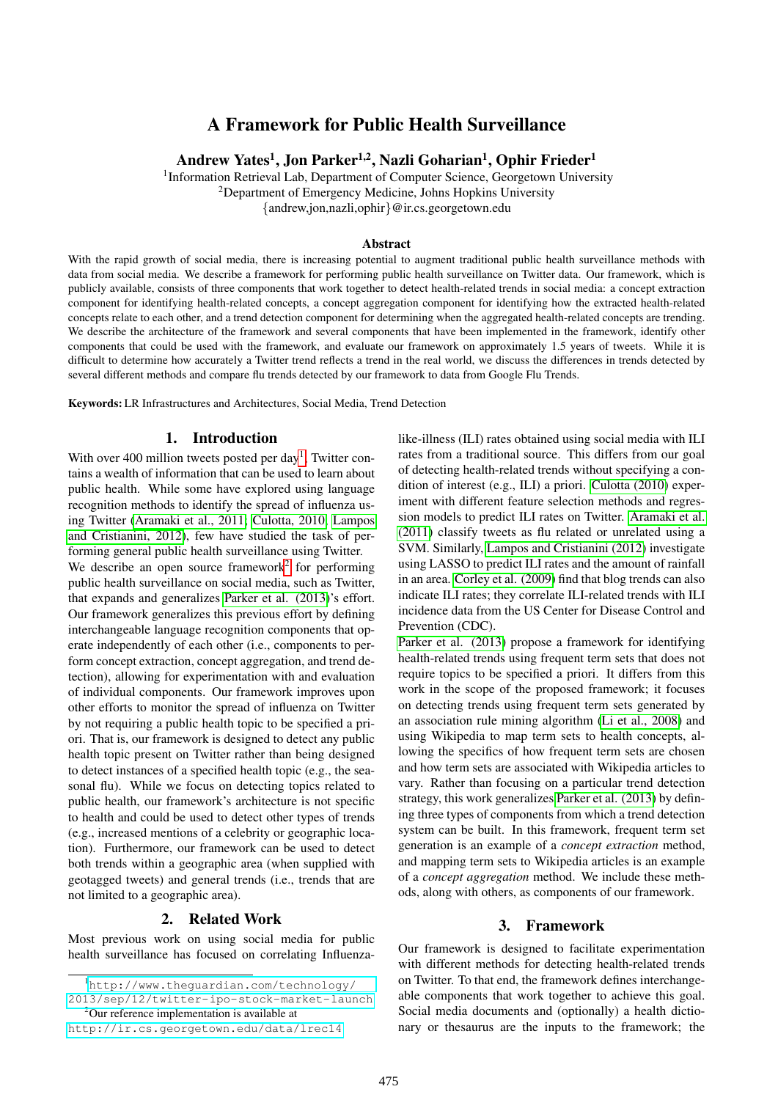# A Framework for Public Health Surveillance

Andrew Yates<sup>1</sup>, Jon Parker<sup>1,2</sup>, Nazli Goharian<sup>1</sup>, Ophir Frieder<sup>1</sup>

<sup>1</sup>Information Retrieval Lab, Department of Computer Science, Georgetown University <sup>2</sup>Department of Emergency Medicine, Johns Hopkins University

{andrew,jon,nazli,ophir}@ir.cs.georgetown.edu

#### Abstract

With the rapid growth of social media, there is increasing potential to augment traditional public health surveillance methods with data from social media. We describe a framework for performing public health surveillance on Twitter data. Our framework, which is publicly available, consists of three components that work together to detect health-related trends in social media: a concept extraction component for identifying health-related concepts, a concept aggregation component for identifying how the extracted health-related concepts relate to each other, and a trend detection component for determining when the aggregated health-related concepts are trending. We describe the architecture of the framework and several components that have been implemented in the framework, identify other components that could be used with the framework, and evaluate our framework on approximately 1.5 years of tweets. While it is difficult to determine how accurately a Twitter trend reflects a trend in the real world, we discuss the differences in trends detected by several different methods and compare flu trends detected by our framework to data from Google Flu Trends.

Keywords: LR Infrastructures and Architectures, Social Media, Trend Detection

#### 1. Introduction

With over 400 million tweets posted per day<sup>[1](#page-0-0)</sup>, Twitter contains a wealth of information that can be used to learn about public health. While some have explored using language recognition methods to identify the spread of influenza using Twitter [\(Aramaki et al., 2011;](#page-5-0) [Culotta, 2010;](#page-6-0) [Lampos](#page-6-1) [and Cristianini, 2012\)](#page-6-1), few have studied the task of performing general public health surveillance using Twitter.

We describe an open source framework<sup>[2](#page-0-1)</sup> for performing public health surveillance on social media, such as Twitter, that expands and generalizes [Parker et al. \(2013\)](#page-6-2)'s effort. Our framework generalizes this previous effort by defining interchangeable language recognition components that operate independently of each other (i.e., components to perform concept extraction, concept aggregation, and trend detection), allowing for experimentation with and evaluation of individual components. Our framework improves upon other efforts to monitor the spread of influenza on Twitter by not requiring a public health topic to be specified a priori. That is, our framework is designed to detect any public health topic present on Twitter rather than being designed to detect instances of a specified health topic (e.g., the seasonal flu). While we focus on detecting topics related to public health, our framework's architecture is not specific to health and could be used to detect other types of trends (e.g., increased mentions of a celebrity or geographic location). Furthermore, our framework can be used to detect both trends within a geographic area (when supplied with geotagged tweets) and general trends (i.e., trends that are not limited to a geographic area).

### 2. Related Work

Most previous work on using social media for public health surveillance has focused on correlating Influenzalike-illness (ILI) rates obtained using social media with ILI rates from a traditional source. This differs from our goal of detecting health-related trends without specifying a condition of interest (e.g., ILI) a priori. [Culotta \(2010\)](#page-6-0) experiment with different feature selection methods and regression models to predict ILI rates on Twitter. [Aramaki et al.](#page-5-0) [\(2011\)](#page-5-0) classify tweets as flu related or unrelated using a SVM. Similarly, [Lampos and Cristianini \(2012\)](#page-6-1) investigate using LASSO to predict ILI rates and the amount of rainfall in an area. [Corley et al. \(2009\)](#page-6-3) find that blog trends can also indicate ILI rates; they correlate ILI-related trends with ILI incidence data from the US Center for Disease Control and Prevention (CDC).

[Parker et al. \(2013\)](#page-6-2) propose a framework for identifying health-related trends using frequent term sets that does not require topics to be specified a priori. It differs from this work in the scope of the proposed framework; it focuses on detecting trends using frequent term sets generated by an association rule mining algorithm [\(Li et al., 2008\)](#page-6-4) and using Wikipedia to map term sets to health concepts, allowing the specifics of how frequent term sets are chosen and how term sets are associated with Wikipedia articles to vary. Rather than focusing on a particular trend detection strategy, this work generalizes [Parker et al. \(2013\)](#page-6-2) by defining three types of components from which a trend detection system can be built. In this framework, frequent term set generation is an example of a *concept extraction* method, and mapping term sets to Wikipedia articles is an example of a *concept aggregation* method. We include these methods, along with others, as components of our framework.

#### 3. Framework

Our framework is designed to facilitate experimentation with different methods for detecting health-related trends on Twitter. To that end, the framework defines interchangeable components that work together to achieve this goal. Social media documents and (optionally) a health dictionary or thesaurus are the inputs to the framework; the

<span id="page-0-0"></span><sup>1</sup>[http://www.theguardian.com/technology/](http://www.theguardian.com/technology/2013/sep/12/twitter-ipo-stock-market-launch) [2013/sep/12/twitter-ipo-stock-market-launch](http://www.theguardian.com/technology/2013/sep/12/twitter-ipo-stock-market-launch) <sup>2</sup>Our reference implementation is available at

<span id="page-0-1"></span><http://ir.cs.georgetown.edu/data/lrec14>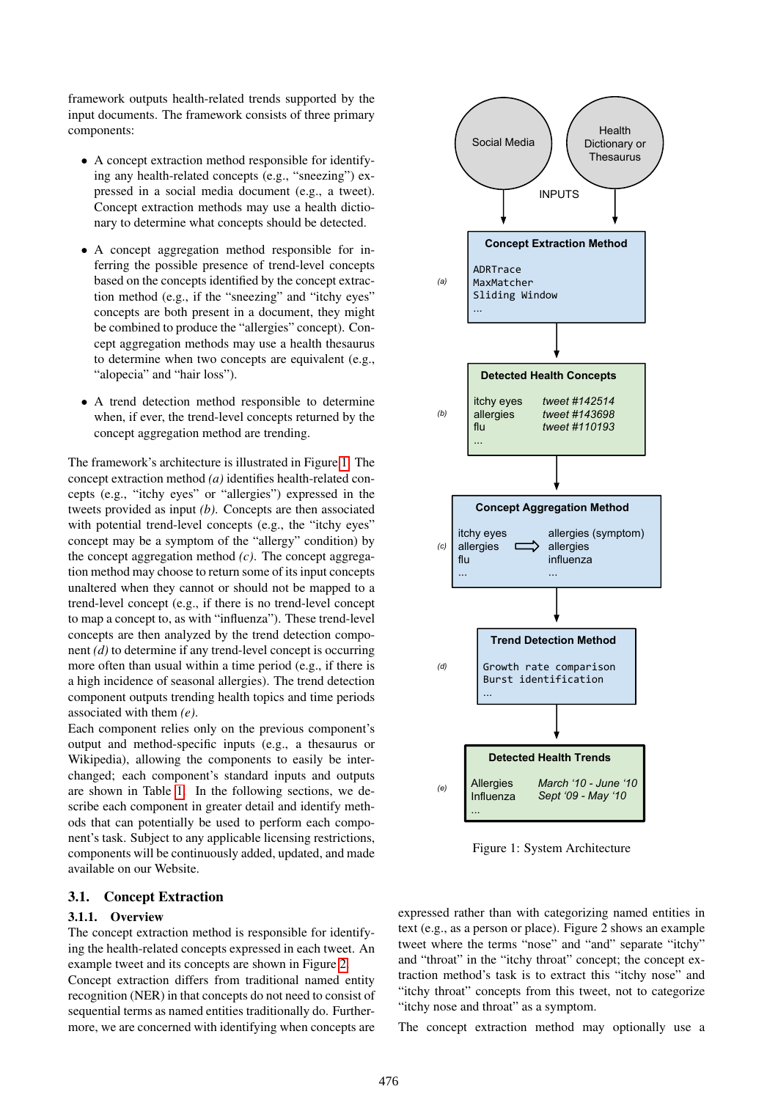framework outputs health-related trends supported by the input documents. The framework consists of three primary components:

- A concept extraction method responsible for identifying any health-related concepts (e.g., "sneezing") expressed in a social media document (e.g., a tweet). Concept extraction methods may use a health dictionary to determine what concepts should be detected.
- A concept aggregation method responsible for inferring the possible presence of trend-level concepts based on the concepts identified by the concept extraction method (e.g., if the "sneezing" and "itchy eyes" concepts are both present in a document, they might be combined to produce the "allergies" concept). Concept aggregation methods may use a health thesaurus to determine when two concepts are equivalent (e.g., "alopecia" and "hair loss").
- A trend detection method responsible to determine when, if ever, the trend-level concepts returned by the concept aggregation method are trending.

The framework's architecture is illustrated in Figure [1.](#page-1-0) The concept extraction method *(a)* identifies health-related concepts (e.g., "itchy eyes" or "allergies") expressed in the tweets provided as input *(b)*. Concepts are then associated with potential trend-level concepts (e.g., the "itchy eyes" concept may be a symptom of the "allergy" condition) by the concept aggregation method *(c)*. The concept aggregation method may choose to return some of its input concepts unaltered when they cannot or should not be mapped to a trend-level concept (e.g., if there is no trend-level concept to map a concept to, as with "influenza"). These trend-level concepts are then analyzed by the trend detection component *(d)* to determine if any trend-level concept is occurring more often than usual within a time period (e.g., if there is a high incidence of seasonal allergies). The trend detection component outputs trending health topics and time periods associated with them *(e)*.

Each component relies only on the previous component's output and method-specific inputs (e.g., a thesaurus or Wikipedia), allowing the components to easily be interchanged; each component's standard inputs and outputs are shown in Table [1.](#page-2-0) In the following sections, we describe each component in greater detail and identify methods that can potentially be used to perform each component's task. Subject to any applicable licensing restrictions, components will be continuously added, updated, and made available on our Website.

#### 3.1. Concept Extraction

### 3.1.1. Overview

The concept extraction method is responsible for identifying the health-related concepts expressed in each tweet. An example tweet and its concepts are shown in Figure [2.](#page-2-1) Concept extraction differs from traditional named entity recognition (NER) in that concepts do not need to consist of sequential terms as named entities traditionally do. Furthermore, we are concerned with identifying when concepts are



<span id="page-1-0"></span>Figure 1: System Architecture

expressed rather than with categorizing named entities in text (e.g., as a person or place). Figure 2 shows an example tweet where the terms "nose" and "and" separate "itchy" and "throat" in the "itchy throat" concept; the concept extraction method's task is to extract this "itchy nose" and "itchy throat" concepts from this tweet, not to categorize "itchy nose and throat" as a symptom.

The concept extraction method may optionally use a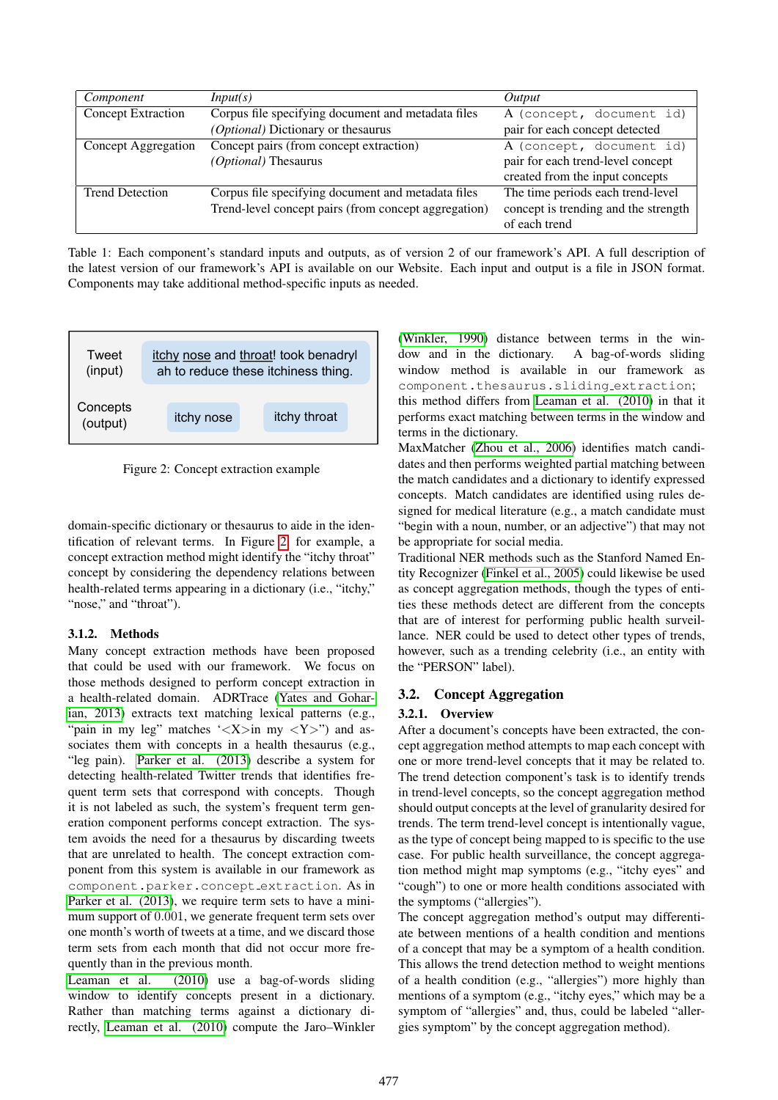| Component                 | Input(s)                                             | Output                               |  |
|---------------------------|------------------------------------------------------|--------------------------------------|--|
| <b>Concept Extraction</b> | Corpus file specifying document and metadata files   | A (concept, document id)             |  |
|                           | (Optional) Dictionary or the saurus                  | pair for each concept detected       |  |
| Concept Aggregation       | Concept pairs (from concept extraction)              | A (concept, document id)             |  |
|                           | (Optional) Thesaurus                                 | pair for each trend-level concept    |  |
|                           |                                                      | created from the input concepts      |  |
| <b>Trend Detection</b>    | Corpus file specifying document and metadata files   | The time periods each trend-level    |  |
|                           | Trend-level concept pairs (from concept aggregation) | concept is trending and the strength |  |
|                           |                                                      | of each trend                        |  |

<span id="page-2-0"></span>Table 1: Each component's standard inputs and outputs, as of version 2 of our framework's API. A full description of the latest version of our framework's API is available on our Website. Each input and output is a file in JSON format. Components may take additional method-specific inputs as needed.



<span id="page-2-1"></span>Figure 2: Concept extraction example

domain-specific dictionary or thesaurus to aide in the identification of relevant terms. In Figure [2,](#page-2-1) for example, a concept extraction method might identify the "itchy throat" concept by considering the dependency relations between health-related terms appearing in a dictionary (i.e., "itchy," "nose," and "throat").

# 3.1.2. Methods

Many concept extraction methods have been proposed that could be used with our framework. We focus on those methods designed to perform concept extraction in a health-related domain. ADRTrace [\(Yates and Gohar](#page-7-0)[ian, 2013\)](#page-7-0) extracts text matching lexical patterns (e.g., "pain in my leg" matches ' $\langle X \rangle$ in my  $\langle Y \rangle$ ") and associates them with concepts in a health thesaurus (e.g., "leg pain). [Parker et al. \(2013\)](#page-6-2) describe a system for detecting health-related Twitter trends that identifies frequent term sets that correspond with concepts. Though it is not labeled as such, the system's frequent term generation component performs concept extraction. The system avoids the need for a thesaurus by discarding tweets that are unrelated to health. The concept extraction component from this system is available in our framework as component.parker.concept extraction. As in [Parker et al. \(2013\)](#page-6-2), we require term sets to have a minimum support of 0.001, we generate frequent term sets over one month's worth of tweets at a time, and we discard those term sets from each month that did not occur more frequently than in the previous month.

[Leaman et al. \(2010\)](#page-6-5) use a bag-of-words sliding window to identify concepts present in a dictionary. Rather than matching terms against a dictionary directly, [Leaman et al. \(2010\)](#page-6-5) compute the Jaro–Winkler

[\(Winkler, 1990\)](#page-7-1) distance between terms in the window and in the dictionary. A bag-of-words sliding window method is available in our framework as component.thesaurus.sliding extraction; this method differs from [Leaman et al. \(2010\)](#page-6-5) in that it

performs exact matching between terms in the window and terms in the dictionary. MaxMatcher [\(Zhou et al., 2006\)](#page-7-2) identifies match candidates and then performs weighted partial matching between

the match candidates and a dictionary to identify expressed concepts. Match candidates are identified using rules designed for medical literature (e.g., a match candidate must "begin with a noun, number, or an adjective") that may not be appropriate for social media.

Traditional NER methods such as the Stanford Named Entity Recognizer [\(Finkel et al., 2005\)](#page-6-6) could likewise be used as concept aggregation methods, though the types of entities these methods detect are different from the concepts that are of interest for performing public health surveillance. NER could be used to detect other types of trends, however, such as a trending celebrity (i.e., an entity with the "PERSON" label).

# 3.2. Concept Aggregation

# 3.2.1. Overview

After a document's concepts have been extracted, the concept aggregation method attempts to map each concept with one or more trend-level concepts that it may be related to. The trend detection component's task is to identify trends in trend-level concepts, so the concept aggregation method should output concepts at the level of granularity desired for trends. The term trend-level concept is intentionally vague, as the type of concept being mapped to is specific to the use case. For public health surveillance, the concept aggregation method might map symptoms (e.g., "itchy eyes" and "cough") to one or more health conditions associated with the symptoms ("allergies").

The concept aggregation method's output may differentiate between mentions of a health condition and mentions of a concept that may be a symptom of a health condition. This allows the trend detection method to weight mentions of a health condition (e.g., "allergies") more highly than mentions of a symptom (e.g., "itchy eyes," which may be a symptom of "allergies" and, thus, could be labeled "allergies symptom" by the concept aggregation method).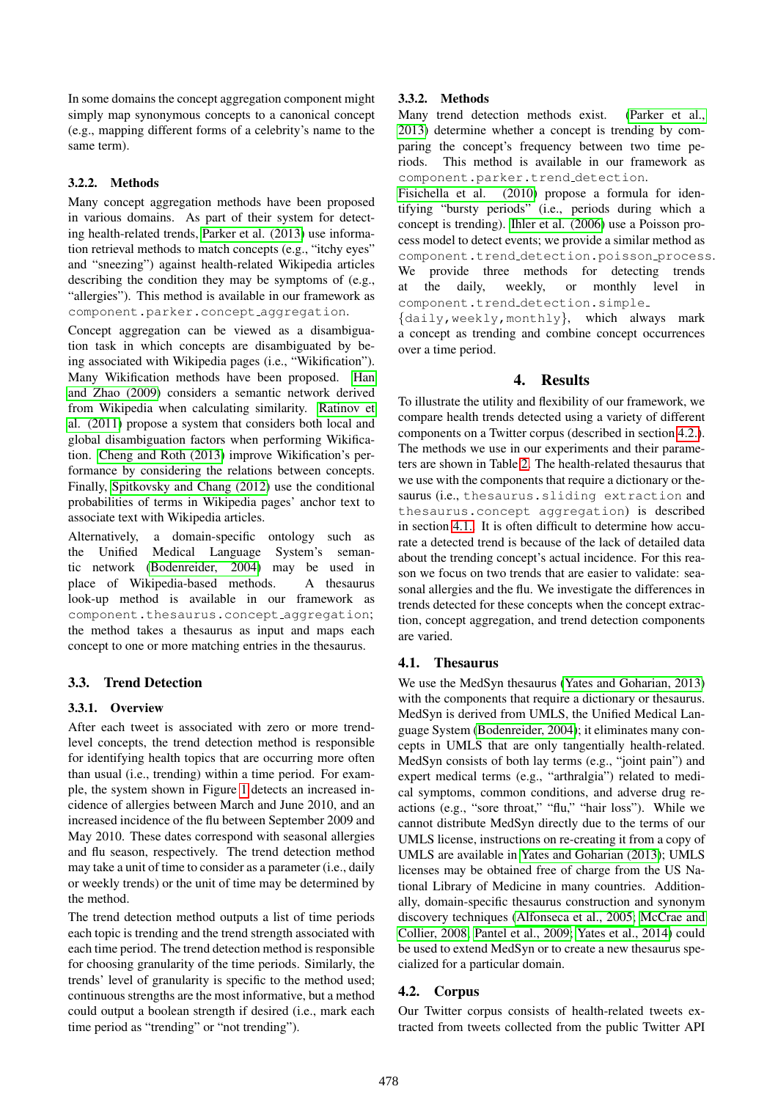In some domains the concept aggregation component might simply map synonymous concepts to a canonical concept (e.g., mapping different forms of a celebrity's name to the same term).

### 3.2.2. Methods

Many concept aggregation methods have been proposed in various domains. As part of their system for detecting health-related trends, [Parker et al. \(2013\)](#page-6-2) use information retrieval methods to match concepts (e.g., "itchy eyes" and "sneezing") against health-related Wikipedia articles describing the condition they may be symptoms of (e.g., "allergies"). This method is available in our framework as component.parker.concept aggregation.

Concept aggregation can be viewed as a disambiguation task in which concepts are disambiguated by being associated with Wikipedia pages (i.e., "Wikification"). Many Wikification methods have been proposed. [Han](#page-6-7) [and Zhao \(2009\)](#page-6-7) considers a semantic network derived from Wikipedia when calculating similarity. [Ratinov et](#page-6-8) [al. \(2011\)](#page-6-8) propose a system that considers both local and global disambiguation factors when performing Wikification. [Cheng and Roth \(2013\)](#page-6-9) improve Wikification's performance by considering the relations between concepts. Finally, [Spitkovsky and Chang \(2012\)](#page-7-3) use the conditional probabilities of terms in Wikipedia pages' anchor text to associate text with Wikipedia articles.

Alternatively, a domain-specific ontology such as the Unified Medical Language System's semantic network [\(Bodenreider, 2004\)](#page-5-1) may be used in place of Wikipedia-based methods. A thesaurus look-up method is available in our framework as component.thesaurus.concept\_aggregation; the method takes a thesaurus as input and maps each concept to one or more matching entries in the thesaurus.

# 3.3. Trend Detection

# 3.3.1. Overview

After each tweet is associated with zero or more trendlevel concepts, the trend detection method is responsible for identifying health topics that are occurring more often than usual (i.e., trending) within a time period. For example, the system shown in Figure [1](#page-1-0) detects an increased incidence of allergies between March and June 2010, and an increased incidence of the flu between September 2009 and May 2010. These dates correspond with seasonal allergies and flu season, respectively. The trend detection method may take a unit of time to consider as a parameter (i.e., daily or weekly trends) or the unit of time may be determined by the method.

The trend detection method outputs a list of time periods each topic is trending and the trend strength associated with each time period. The trend detection method is responsible for choosing granularity of the time periods. Similarly, the trends' level of granularity is specific to the method used; continuous strengths are the most informative, but a method could output a boolean strength if desired (i.e., mark each time period as "trending" or "not trending").

### 3.3.2. Methods

Many trend detection methods exist. [\(Parker et al.,](#page-6-2) [2013\)](#page-6-2) determine whether a concept is trending by comparing the concept's frequency between two time periods. This method is available in our framework as component.parker.trend detection.

[Fisichella et al. \(2010\)](#page-6-10) propose a formula for identifying "bursty periods" (i.e., periods during which a concept is trending). [Ihler et al. \(2006\)](#page-6-11) use a Poisson process model to detect events; we provide a similar method as component.trend detection.poisson process. We provide three methods for detecting trends at the daily, weekly, or monthly level in component.trend\_detection.simple\_

{daily,weekly,monthly}, which always mark a concept as trending and combine concept occurrences over a time period.

# 4. Results

To illustrate the utility and flexibility of our framework, we compare health trends detected using a variety of different components on a Twitter corpus (described in section [4.2.\)](#page-3-0). The methods we use in our experiments and their parameters are shown in Table [2.](#page-5-2) The health-related thesaurus that we use with the components that require a dictionary or thesaurus (i.e., thesaurus.sliding extraction and thesaurus.concept aggregation) is described in section [4.1..](#page-3-1) It is often difficult to determine how accurate a detected trend is because of the lack of detailed data about the trending concept's actual incidence. For this reason we focus on two trends that are easier to validate: seasonal allergies and the flu. We investigate the differences in trends detected for these concepts when the concept extraction, concept aggregation, and trend detection components are varied.

# <span id="page-3-1"></span>4.1. Thesaurus

We use the MedSyn thesaurus [\(Yates and Goharian, 2013\)](#page-7-0) with the components that require a dictionary or thesaurus. MedSyn is derived from UMLS, the Unified Medical Language System [\(Bodenreider, 2004\)](#page-5-1); it eliminates many concepts in UMLS that are only tangentially health-related. MedSyn consists of both lay terms (e.g., "joint pain") and expert medical terms (e.g., "arthralgia") related to medical symptoms, common conditions, and adverse drug reactions (e.g., "sore throat," "flu," "hair loss"). While we cannot distribute MedSyn directly due to the terms of our UMLS license, instructions on re-creating it from a copy of UMLS are available in [Yates and Goharian \(2013\)](#page-7-0); UMLS licenses may be obtained free of charge from the US National Library of Medicine in many countries. Additionally, domain-specific thesaurus construction and synonym discovery techniques [\(Alfonseca et al., 2005;](#page-5-3) [McCrae and](#page-6-12) [Collier, 2008;](#page-6-12) [Pantel et al., 2009;](#page-6-13) [Yates et al., 2014\)](#page-7-4) could be used to extend MedSyn or to create a new thesaurus specialized for a particular domain.

# <span id="page-3-0"></span>4.2. Corpus

Our Twitter corpus consists of health-related tweets extracted from tweets collected from the public Twitter API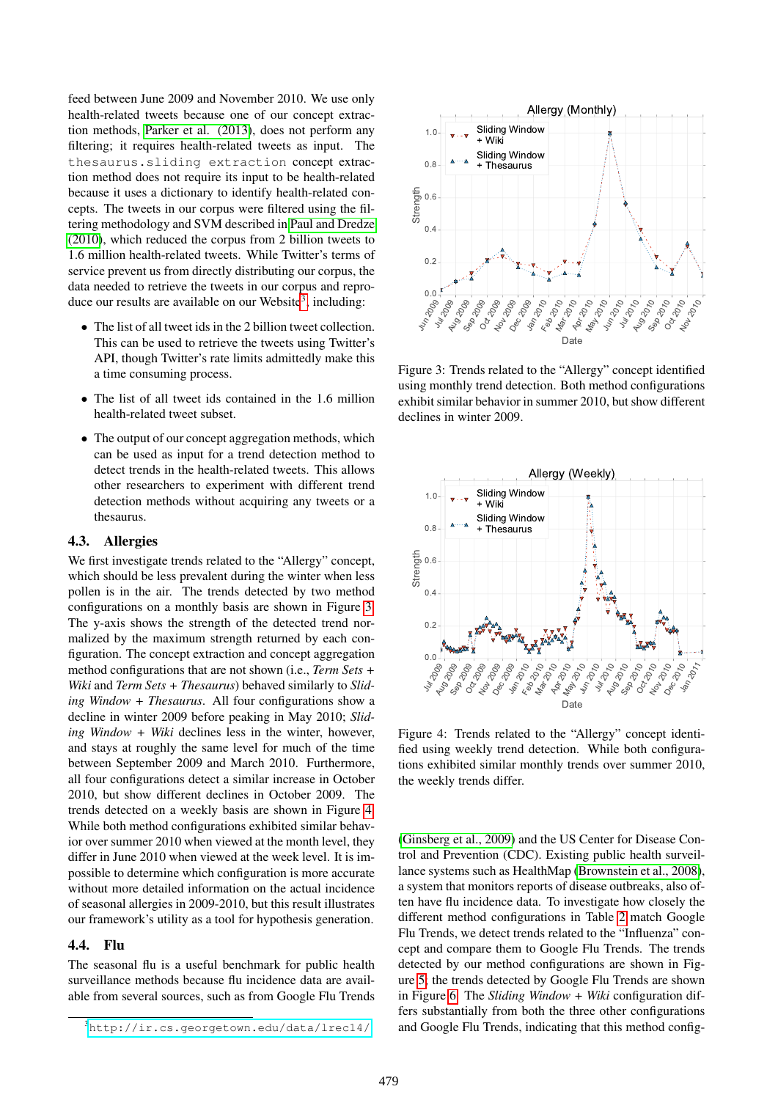feed between June 2009 and November 2010. We use only health-related tweets because one of our concept extraction methods, [Parker et al. \(2013\)](#page-6-2), does not perform any filtering; it requires health-related tweets as input. The thesaurus.sliding extraction concept extraction method does not require its input to be health-related because it uses a dictionary to identify health-related concepts. The tweets in our corpus were filtered using the filtering methodology and SVM described in [Paul and Dredze](#page-6-14) [\(2010\)](#page-6-14), which reduced the corpus from 2 billion tweets to 1.6 million health-related tweets. While Twitter's terms of service prevent us from directly distributing our corpus, the data needed to retrieve the tweets in our corpus and repro-duce our results are available on our Website<sup>[3](#page-4-0)</sup>, including:

- The list of all tweet ids in the 2 billion tweet collection. This can be used to retrieve the tweets using Twitter's API, though Twitter's rate limits admittedly make this a time consuming process.
- The list of all tweet ids contained in the 1.6 million health-related tweet subset.
- The output of our concept aggregation methods, which can be used as input for a trend detection method to detect trends in the health-related tweets. This allows other researchers to experiment with different trend detection methods without acquiring any tweets or a thesaurus.

#### 4.3. Allergies

We first investigate trends related to the "Allergy" concept, which should be less prevalent during the winter when less pollen is in the air. The trends detected by two method configurations on a monthly basis are shown in Figure [3.](#page-4-1) The y-axis shows the strength of the detected trend normalized by the maximum strength returned by each configuration. The concept extraction and concept aggregation method configurations that are not shown (i.e., *Term Sets + Wiki* and *Term Sets + Thesaurus*) behaved similarly to *Sliding Window + Thesaurus*. All four configurations show a decline in winter 2009 before peaking in May 2010; *Sliding Window + Wiki* declines less in the winter, however, and stays at roughly the same level for much of the time between September 2009 and March 2010. Furthermore, all four configurations detect a similar increase in October 2010, but show different declines in October 2009. The trends detected on a weekly basis are shown in Figure [4.](#page-4-2) While both method configurations exhibited similar behavior over summer 2010 when viewed at the month level, they differ in June 2010 when viewed at the week level. It is impossible to determine which configuration is more accurate without more detailed information on the actual incidence of seasonal allergies in 2009-2010, but this result illustrates our framework's utility as a tool for hypothesis generation. is our results are available on our Website', including:<br>
This is an he used to retrieve the tweets using Twitter's<br>
This can he used to retrieve the tweets using Twitter's<br>
API, though Twitter's retro limits admittedly m

#### 4.4. Flu

The seasonal flu is a useful benchmark for public health surveillance methods because flu incidence data are available from several sources, such as from Google Flu Trends



<span id="page-4-1"></span>Figure 3: Trends related to the "Allergy" concept identified using monthly trend detection. Both method configurations exhibit similar behavior in summer 2010, but show different declines in winter 2009.



<span id="page-4-2"></span>Figure 4: Trends related to the "Allergy" concept identified using weekly trend detection. While both configurations exhibited similar monthly trends over summer 2010, the weekly trends differ.

[\(Ginsberg et al., 2009\)](#page-6-15) and the US Center for Disease Control and Prevention (CDC). Existing public health surveillance systems such as HealthMap [\(Brownstein et al., 2008\)](#page-6-16), a system that monitors reports of disease outbreaks, also often have flu incidence data. To investigate how closely the different method configurations in Table [2](#page-5-2) match Google Flu Trends, we detect trends related to the "Influenza" concept and compare them to Google Flu Trends. The trends detected by our method configurations are shown in Figure [5;](#page-5-4) the trends detected by Google Flu Trends are shown in Figure [6.](#page-6-17) The *Sliding Window + Wiki* configuration differs substantially from both the three other configurations and Google Flu Trends, indicating that this method config-

<span id="page-4-0"></span>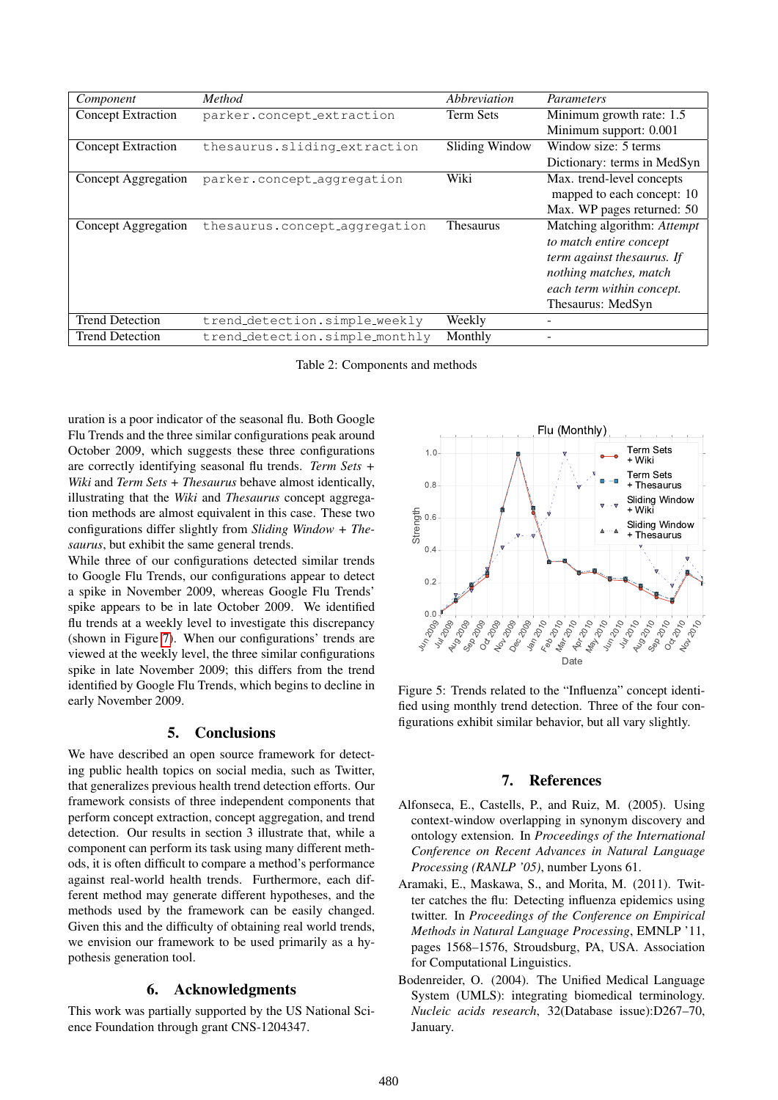| Component                 | Method                         | Abbreviation     | Parameters                  |
|---------------------------|--------------------------------|------------------|-----------------------------|
| <b>Concept Extraction</b> | parker.concept_extraction      | <b>Term Sets</b> | Minimum growth rate: 1.5    |
|                           |                                |                  | Minimum support: 0.001      |
| <b>Concept Extraction</b> | thesaurus.sliding_extraction   | Sliding Window   | Window size: 5 terms        |
|                           |                                |                  | Dictionary: terms in MedSyn |
| Concept Aggregation       | parker.concept_aggregation     | Wiki             | Max. trend-level concepts   |
|                           |                                |                  | mapped to each concept: 10  |
|                           |                                |                  | Max. WP pages returned: 50  |
| Concept Aggregation       | thesaurus.concept_aggregation  | <b>Thesaurus</b> | Matching algorithm: Attempt |
|                           |                                |                  | to match entire concept     |
|                           |                                |                  | term against thesaurus. If  |
|                           |                                |                  | nothing matches, match      |
|                           |                                |                  | each term within concept.   |
|                           |                                |                  | Thesaurus: MedSyn           |
| <b>Trend Detection</b>    | trend_detection.simple_weekly  | Weekly           |                             |
| <b>Trend Detection</b>    | trend_detection.simple_monthly | Monthly          |                             |

<span id="page-5-2"></span>Table 2: Components and methods

uration is a poor indicator of the seasonal flu. Both Google Flu Trends and the three similar configurations peak around October 2009, which suggests these three configurations are correctly identifying seasonal flu trends. *Term Sets + Wiki* and *Term Sets + Thesaurus* behave almost identically, illustrating that the *Wiki* and *Thesaurus* concept aggregation methods are almost equivalent in this case. These two configurations differ slightly from *Sliding Window + Thesaurus*, but exhibit the same general trends.

While three of our configurations detected similar trends to Google Flu Trends, our configurations appear to detect a spike in November 2009, whereas Google Flu Trends' spike appears to be in late October 2009. We identified flu trends at a weekly level to investigate this discrepancy (shown in Figure [7\)](#page-6-18). When our configurations' trends are viewed at the weekly level, the three similar configurations spike in late November 2009; this differs from the trend identified by Google Flu Trends, which begins to decline in early November 2009.

#### 5. Conclusions

We have described an open source framework for detecting public health topics on social media, such as Twitter, that generalizes previous health trend detection efforts. Our framework consists of three independent components that perform concept extraction, concept aggregation, and trend detection. Our results in section 3 illustrate that, while a component can perform its task using many different methods, it is often difficult to compare a method's performance against real-world health trends. Furthermore, each different method may generate different hypotheses, and the methods used by the framework can be easily changed. Given this and the difficulty of obtaining real world trends, we envision our framework to be used primarily as a hypothesis generation tool. the trends at weekly level to investigate this discrepancy<br>
(shown in Figure 7). When our configurations 'tends are<br>
viewed at the weekly level, the three similar configurations<br>
spike in late November 2009; this differs

#### 6. Acknowledgments

This work was partially supported by the US National Sci-



<span id="page-5-4"></span>Figure 5: Trends related to the "Influenza" concept identified using monthly trend detection. Three of the four configurations exhibit similar behavior, but all vary slightly.

#### 7. References

- <span id="page-5-3"></span>Alfonseca, E., Castells, P., and Ruiz, M. (2005). Using context-window overlapping in synonym discovery and ontology extension. In *Proceedings of the International Conference on Recent Advances in Natural Language Processing (RANLP '05)*, number Lyons 61.
- <span id="page-5-0"></span>Aramaki, E., Maskawa, S., and Morita, M. (2011). Twitter catches the flu: Detecting influenza epidemics using twitter. In *Proceedings of the Conference on Empirical Methods in Natural Language Processing*, EMNLP '11, pages 1568–1576, Stroudsburg, PA, USA. Association for Computational Linguistics.
- <span id="page-5-1"></span>Bodenreider, O. (2004). The Unified Medical Language System (UMLS): integrating biomedical terminology. *Nucleic acids research*, 32(Database issue):D267–70, January.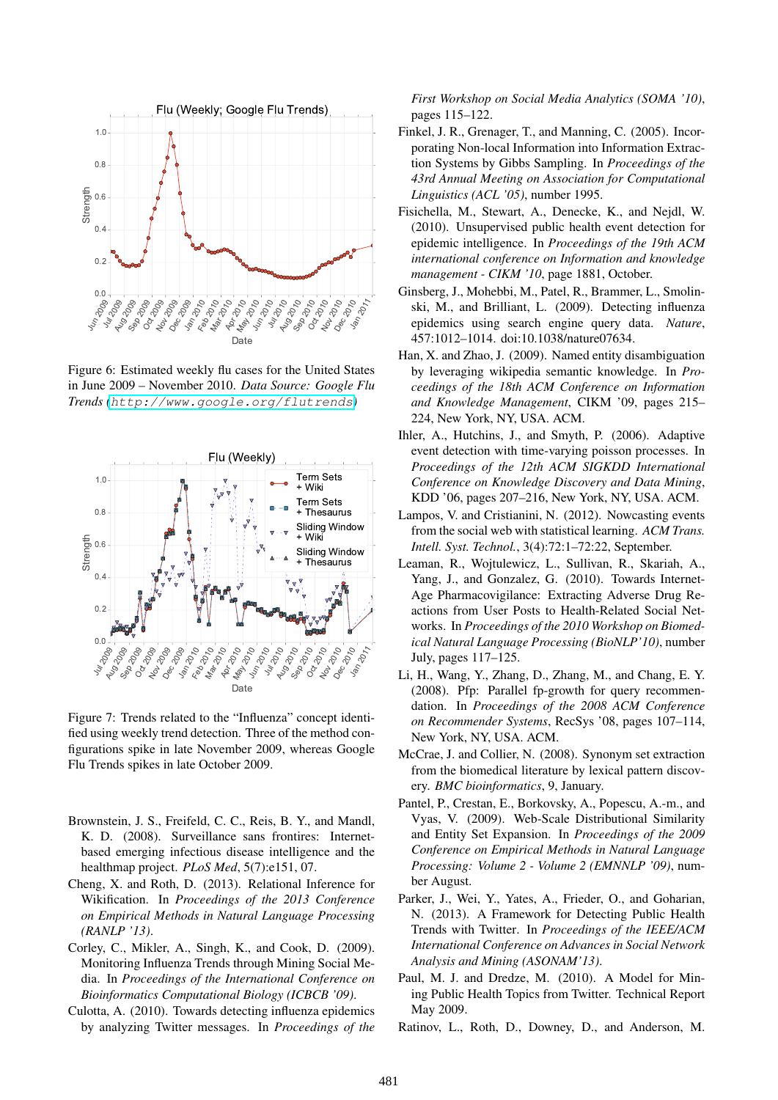

<span id="page-6-17"></span>Figure 6: Estimated weekly flu cases for the United States in June 2009 – November 2010. *Data Source: Google Flu Trends (*<http://www.google.org/flutrends>*)*



<span id="page-6-18"></span>Figure 7: Trends related to the "Influenza" concept identified using weekly trend detection. Three of the method configurations spike in late November 2009, whereas Google Flu Trends spikes in late October 2009.

- <span id="page-6-16"></span>Brownstein, J. S., Freifeld, C. C., Reis, B. Y., and Mandl, K. D. (2008). Surveillance sans frontires: Internetbased emerging infectious disease intelligence and the healthmap project. *PLoS Med*, 5(7):e151, 07.
- <span id="page-6-9"></span>Cheng, X. and Roth, D. (2013). Relational Inference for Wikification. In *Proceedings of the 2013 Conference on Empirical Methods in Natural Language Processing (RANLP '13)*.
- <span id="page-6-3"></span>Corley, C., Mikler, A., Singh, K., and Cook, D. (2009). Monitoring Influenza Trends through Mining Social Media. In *Proceedings of the International Conference on Bioinformatics Computational Biology (ICBCB '09)*.
- <span id="page-6-0"></span>Culotta, A. (2010). Towards detecting influenza epidemics by analyzing Twitter messages. In *Proceedings of the*

*First Workshop on Social Media Analytics (SOMA '10)*, pages 115–122.

- <span id="page-6-6"></span>Finkel, J. R., Grenager, T., and Manning, C. (2005). Incorporating Non-local Information into Information Extraction Systems by Gibbs Sampling. In *Proceedings of the 43rd Annual Meeting on Association for Computational Linguistics (ACL '05)*, number 1995.
- <span id="page-6-10"></span>Fisichella, M., Stewart, A., Denecke, K., and Nejdl, W. (2010). Unsupervised public health event detection for epidemic intelligence. In *Proceedings of the 19th ACM international conference on Information and knowledge management - CIKM '10*, page 1881, October.
- <span id="page-6-15"></span>Ginsberg, J., Mohebbi, M., Patel, R., Brammer, L., Smolinski, M., and Brilliant, L. (2009). Detecting influenza epidemics using search engine query data. *Nature*, 457:1012–1014. doi:10.1038/nature07634.
- <span id="page-6-7"></span>Han, X. and Zhao, J. (2009). Named entity disambiguation by leveraging wikipedia semantic knowledge. In *Proceedings of the 18th ACM Conference on Information and Knowledge Management*, CIKM '09, pages 215– 224, New York, NY, USA. ACM.
- <span id="page-6-11"></span>Ihler, A., Hutchins, J., and Smyth, P. (2006). Adaptive event detection with time-varying poisson processes. In *Proceedings of the 12th ACM SIGKDD International Conference on Knowledge Discovery and Data Mining*, KDD '06, pages 207–216, New York, NY, USA. ACM.
- <span id="page-6-1"></span>Lampos, V. and Cristianini, N. (2012). Nowcasting events from the social web with statistical learning. *ACM Trans. Intell. Syst. Technol.*, 3(4):72:1–72:22, September.
- <span id="page-6-5"></span>Leaman, R., Wojtulewicz, L., Sullivan, R., Skariah, A., Yang, J., and Gonzalez, G. (2010). Towards Internet-Age Pharmacovigilance: Extracting Adverse Drug Reactions from User Posts to Health-Related Social Networks. In *Proceedings of the 2010 Workshop on Biomedical Natural Language Processing (BioNLP'10)*, number July, pages 117–125.
- <span id="page-6-4"></span>Li, H., Wang, Y., Zhang, D., Zhang, M., and Chang, E. Y. (2008). Pfp: Parallel fp-growth for query recommendation. In *Proceedings of the 2008 ACM Conference on Recommender Systems*, RecSys '08, pages 107–114, New York, NY, USA. ACM.
- <span id="page-6-12"></span>McCrae, J. and Collier, N. (2008). Synonym set extraction from the biomedical literature by lexical pattern discovery. *BMC bioinformatics*, 9, January.
- <span id="page-6-13"></span>Pantel, P., Crestan, E., Borkovsky, A., Popescu, A.-m., and Vyas, V. (2009). Web-Scale Distributional Similarity and Entity Set Expansion. In *Proceedings of the 2009 Conference on Empirical Methods in Natural Language Processing: Volume 2 - Volume 2 (EMNNLP '09)*, number August.
- <span id="page-6-2"></span>Parker, J., Wei, Y., Yates, A., Frieder, O., and Goharian, N. (2013). A Framework for Detecting Public Health Trends with Twitter. In *Proceedings of the IEEE/ACM International Conference on Advances in Social Network Analysis and Mining (ASONAM'13)*.
- <span id="page-6-14"></span>Paul, M. J. and Dredze, M. (2010). A Model for Mining Public Health Topics from Twitter. Technical Report May 2009.
- <span id="page-6-8"></span>Ratinov, L., Roth, D., Downey, D., and Anderson, M.